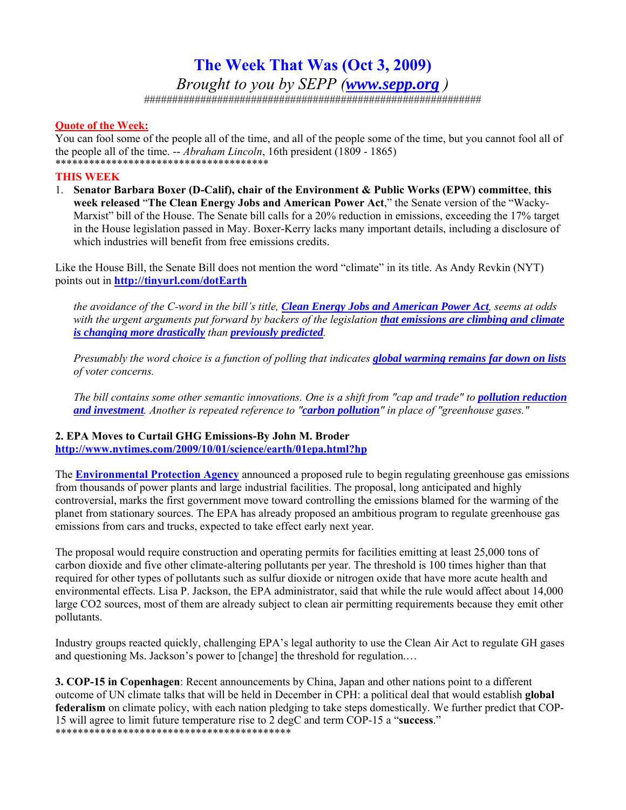# **The Week That Was (Oct 3, 2009)**

*Brought to you by SEPP (www.sepp.org )* 

############################################################

#### **Quote of the Week:**

You can fool some of the people all of the time, and all of the people some of the time, but you cannot fool all of the people all of the time. -- *Abraham Lincoln*, 16th president (1809 - 1865) \*\*\*\*\*\*\*\*\*\*\*\*\*\*\*\*\*\*\*\*\*\*\*\*\*\*\*\*\*\*\*\*\*\*\*\*\*\*

#### **THIS WEEK**

1. **Senator Barbara Boxer (D-Calif), chair of the Environment & Public Works (EPW) committee**, **this week released** "**The Clean Energy Jobs and American Power Act**," the Senate version of the "Wacky-Marxist" bill of the House. The Senate bill calls for a 20% reduction in emissions, exceeding the 17% target in the House legislation passed in May. Boxer-Kerry lacks many important details, including a disclosure of which industries will benefit from free emissions credits.

Like the House Bill, the Senate Bill does not mention the word "climate" in its title. As Andy Revkin (NYT) points out in **http://tinyurl.com/dotEarth**

*the avoidance of the C-word in the bill's title, [Clean Energy Jobs and American Power Act](http://epw.senate.gov/public/index.cfm?FuseAction=Majority.PressReleases&ContentRecord_id=0c00344c-802a-23ad-4f4d-edb0c9408d2e), seems at odds with the urgent arguments put forward by backers of the legislation [that emissions are climbing and climate](http://www.unep.org/Documents.Multilingual/Default.asp?DocumentID=596&ArticleID=6326&l=en)  [is changing more drastically](http://www.unep.org/Documents.Multilingual/Default.asp?DocumentID=596&ArticleID=6326&l=en) than [previously predicted](http://dotearth.blogs.nytimes.com/2007/11/16/a-4th-climate-warning-anybody-listening/).* 

*Presumably the word choice is a function of polling that indicates [global warming remains far down on lists](http://www.nytimes.com/2009/01/23/science/earth/23warm.html?ei=5124&en=18c2a8f5c8c461d2&ex=1390453200&partner=digg&exprod=digg&pagewanted=all) of voter concerns.* 

*The bill contains some other semantic innovations. One is a shift from "cap and trade" to <i>pollution reduction [and investment](http://www.google.com/hostednews/ap/article/ALeqM5iT-0No2yFXcfgIt4YInrsQM5E5FAD9B1SODG0). Another is repeated reference to "[carbon pollution](http://www.huffingtonpost.com/john-kerry/taking-control-of-our-ene_b_304882.html)" in place of "greenhouse gases."* 

#### **2. EPA Moves to Curtail GHG Emissions-By John M. Broder http://www.nytimes.com/2009/10/01/science/earth/01epa.html?hp**

The **[Environmental Protection Agency](http://topics.nytimes.com/top/reference/timestopics/organizations/e/environmental_protection_agency/index.html?inline=nyt-org)** announced a proposed rule to begin regulating greenhouse gas emissions from thousands of power plants and large industrial facilities. The proposal, long anticipated and highly controversial, marks the first government move toward controlling the emissions blamed for the warming of the planet from stationary sources. The EPA has already proposed an ambitious program to regulate greenhouse gas emissions from cars and trucks, expected to take effect early next year.

The proposal would require construction and operating permits for facilities emitting at least 25,000 tons of carbon dioxide and five other climate-altering pollutants per year. The threshold is 100 times higher than that required for other types of pollutants such as sulfur dioxide or nitrogen oxide that have more acute health and environmental effects. Lisa P. Jackson, the EPA administrator, said that while the rule would affect about 14,000 large CO2 sources, most of them are already subject to clean air permitting requirements because they emit other pollutants.

Industry groups reacted quickly, challenging EPA's legal authority to use the Clean Air Act to regulate GH gases and questioning Ms. Jackson's power to [change] the threshold for regulation.…

**3. COP-15 in Copenhagen**: Recent announcements by China, Japan and other nations point to a different outcome of UN climate talks that will be held in December in CPH: a political deal that would establish **global federalism** on climate policy, with each nation pledging to take steps domestically. We further predict that COP-15 will agree to limit future temperature rise to 2 degC and term COP-15 a "**success**."

\*\*\*\*\*\*\*\*\*\*\*\*\*\*\*\*\*\*\*\*\*\*\*\*\*\*\*\*\*\*\*\*\*\*\*\*\*\*\*\*\*\*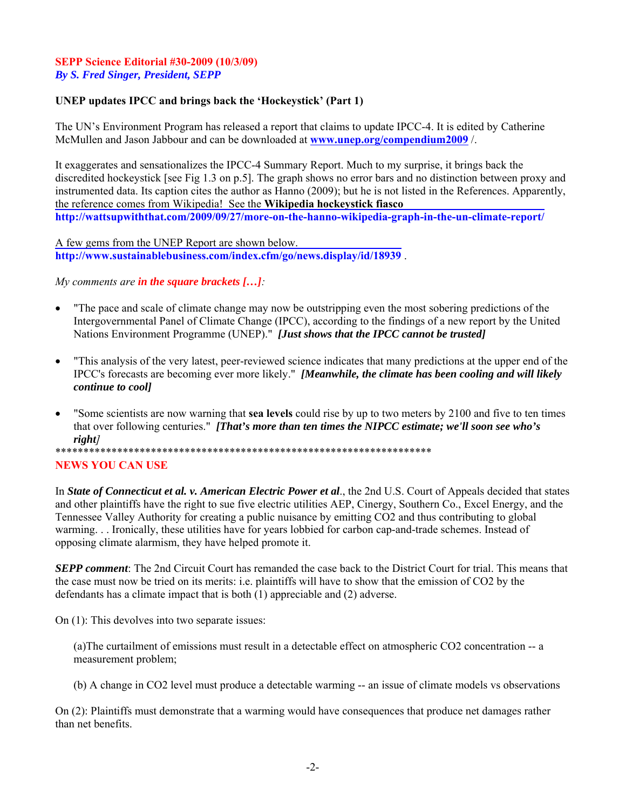#### **SEPP Science Editorial #30-2009 (10/3/09)**  *By S. Fred Singer, President, SEPP*

#### **UNEP updates IPCC and brings back the 'Hockeystick' (Part 1)**

The UN's Environment Program has released a report that claims to update IPCC-4. It is edited by Catherine McMullen and Jason Jabbour and can be downloaded at **www.unep.org/compendium2009** /.

It exaggerates and sensationalizes the IPCC-4 Summary Report. Much to my surprise, it brings back the discredited hockeystick [see Fig 1.3 on p.5]. The graph shows no error bars and no distinction between proxy and instrumented data. Its caption cites the author as Hanno (2009); but he is not listed in the References. Apparently, the reference comes from Wikipedia! See the **Wikipedia hockeystick fiasco http://wattsupwiththat.com/2009/09/27/more-on-the-hanno-wikipedia-graph-in-the-un-climate-report/** 

A few gems from the UNEP Report are shown below. **http://www.sustainablebusiness.com/index.cfm/go/news.display/id/18939** .

*My comments are in the square brackets […]:* 

- "The pace and scale of climate change may now be outstripping even the most sobering predictions of the Intergovernmental Panel of Climate Change (IPCC), according to the findings of a new report by the United Nations Environment Programme (UNEP)." *[Just shows that the IPCC cannot be trusted]*
- "This analysis of the very latest, peer-reviewed science indicates that many predictions at the upper end of the IPCC's forecasts are becoming ever more likely." *[Meanwhile, the climate has been cooling and will likely continue to cool]*
- "Some scientists are now warning that **sea levels** could rise by up to two meters by 2100 and five to ten times that over following centuries." *[That's more than ten times the NIPCC estimate; we'll soon see who's right]*

\*\*\*\*\*\*\*\*\*\*\*\*\*\*\*\*\*\*\*\*\*\*\*\*\*\*\*\*\*\*\*\*\*\*\*\*\*\*\*\*\*\*\*\*\*\*\*\*\*\*\*\*\*\*\*\*\*\*\*\*\*\*\*\*\*\*\*

#### **NEWS YOU CAN USE**

In *State of Connecticut et al. v. American Electric Power et al*., the 2nd U.S. Court of Appeals decided that states and other plaintiffs have the right to sue five electric utilities AEP, Cinergy, Southern Co., Excel Energy, and the Tennessee Valley Authority for creating a public nuisance by emitting CO2 and thus contributing to global warming. . . Ironically, these utilities have for years lobbied for carbon cap-and-trade schemes. Instead of opposing climate alarmism, they have helped promote it.

*SEPP comment*: The 2nd Circuit Court has remanded the case back to the District Court for trial. This means that the case must now be tried on its merits: i.e. plaintiffs will have to show that the emission of CO2 by the defendants has a climate impact that is both (1) appreciable and (2) adverse.

On (1): This devolves into two separate issues:

(a)The curtailment of emissions must result in a detectable effect on atmospheric CO2 concentration -- a measurement problem;

(b) A change in CO2 level must produce a detectable warming -- an issue of climate models vs observations

On (2): Plaintiffs must demonstrate that a warming would have consequences that produce net damages rather than net benefits.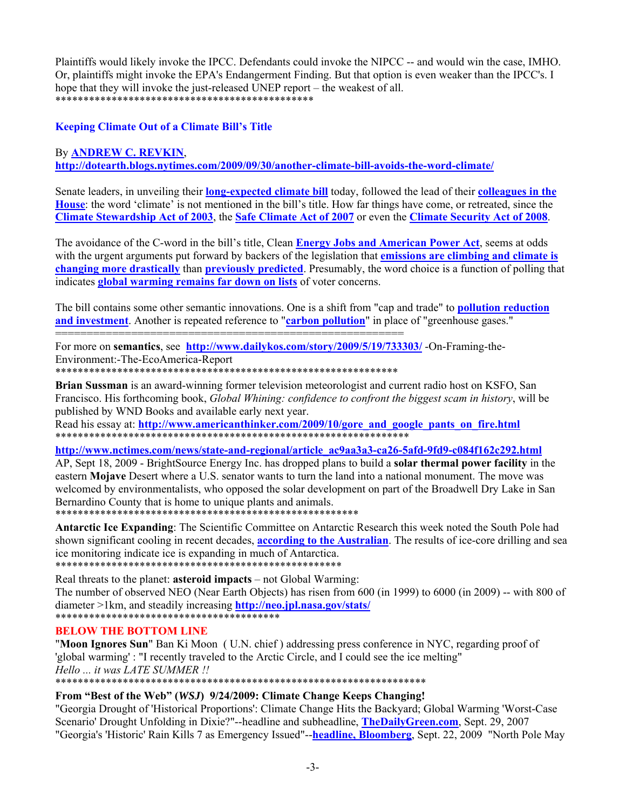Plaintiffs would likely invoke the IPCC. Defendants could invoke the NIPCC -- and would win the case, IMHO. Or, plaintiffs might invoke the EPA's Endangerment Finding. But that option is even weaker than the IPCC's. I hope that they will invoke the just-released UNEP report – the weakest of all. \*\*\*\*\*\*\*\*\*\*\*\*\*\*\*\*\*\*\*\*\*\*\*\*\*\*\*\*\*\*\*\*\*\*\*\*\*\*\*\*\*\*\*\*\*\*

**Keeping Climate Out of a Climate Bill's Title** 

By **ANDREW C. REVKIN**, **http://dotearth.blogs.nytimes.com/2009/09/30/another-climate-bill-avoids-the-word-climate/** 

Senate leaders, in unveiling their **[long-expected climate bill](http://www.nytimes.com/2009/09/30/us/politics/30climate.html?ref=earth)** today, followed the lead of their **[colleagues in the](http://www.opencongress.org/bill/111-h2454/show)  [House](http://www.opencongress.org/bill/111-h2454/show)**: the word 'climate' is not mentioned in the bill's title. How far things have come, or retreated, since the **[Climate Stewardship Act of 2003](http://www.pewclimate.org/policy_center/analyses/s_139_summary.cfm)**, the **[Safe Climate Act of 2007](http://www.wired.com/threatlevel/2007/03/waxman_introduc/)** or even the **[Climate Security Act of 2008](http://www.pewclimate.org/analysis/l-w)**.

The avoidance of the C-word in the bill's title, Clean **[Energy Jobs and American Power Act](http://epw.senate.gov/public/index.cfm?FuseAction=Majority.PressReleases&ContentRecord_id=0c00344c-802a-23ad-4f4d-edb0c9408d2e)**, seems at odds with the urgent arguments put forward by backers of the legislation that **[emissions are climbing and climate is](http://www.unep.org/Documents.Multilingual/Default.asp?DocumentID=596&ArticleID=6326&l=en)  [changing more drastically](http://www.unep.org/Documents.Multilingual/Default.asp?DocumentID=596&ArticleID=6326&l=en)** than **[previously predicted](http://dotearth.blogs.nytimes.com/2007/11/16/a-4th-climate-warning-anybody-listening/)**. Presumably, the word choice is a function of polling that indicates **[global warming remains far down on lists](http://www.nytimes.com/2009/01/23/science/earth/23warm.html?ei=5124&en=18c2a8f5c8c461d2&ex=1390453200&partner=digg&exprod=digg&pagewanted=all)** of voter concerns.

The bill contains some other semantic innovations. One is a shift from "cap and trade" to **[pollution reduction](http://www.google.com/hostednews/ap/article/ALeqM5iT-0No2yFXcfgIt4YInrsQM5E5FAD9B1SODG0)  [and investment](http://www.google.com/hostednews/ap/article/ALeqM5iT-0No2yFXcfgIt4YInrsQM5E5FAD9B1SODG0)**. Another is repeated reference to "**[carbon pollution](http://www.huffingtonpost.com/john-kerry/taking-control-of-our-ene_b_304882.html)**" in place of "greenhouse gases."

======================================================= For more on **semantics**, see **http://www.dailykos.com/story/2009/5/19/733303/** -On-Framing-the-Environment:-The-EcoAmerica-Report

<u>.</u><br>\*\*\*\*\*\*\*\*\*\*\*\*\*\*\*\*\*\*\*\*\*\*\*\*\*\*\*\*\*\*\*\*\*

**Brian Sussman** is an award-winning former television meteorologist and current radio host on KSFO, San Francisco. His forthcoming book, *Global Whining: confidence to confront the biggest scam in history*, will be published by WND Books and available early next year.

Read his essay at: **http://www.americanthinker.com/2009/10/gore\_and\_google\_pants\_on\_fire.html** \*\*\*\*\*\*\*\*\*\*\*\*\*\*\*\*\*\*\*\*\*\*\*\*\*\*\*\*\*\*\*\*\*\*\*\*\*\*\*\*\*\*\*\*\*\*\*\*\*\*\*\*\*\*\*\*\*\*\*\*\*\*\*

**http://www.nctimes.com/news/state-and-regional/article\_ac9aa3a3-ca26-5afd-9fd9-c084f162c292.html** 

AP, Sept 18, 2009 - BrightSource Energy Inc. has dropped plans to build a **solar thermal power facility** in the eastern **Mojave** Desert where a U.S. senator wants to turn the land into a national monument. The move was welcomed by environmentalists, who opposed the solar development on part of the Broadwell Dry Lake in San Bernardino County that is home to unique plants and animals.

\*\*\*\*\*\*\*\*\*\*\*\*\*\*\*\*\*\*\*\*\*\*\*\*\*\*\*\*\*\*\*\*\*

**Antarctic Ice Expanding**: The Scientific Committee on Antarctic Research this week noted the South Pole had shown significant cooling in recent decades, **[according to the Australian](http://click.icptrack.com/icp/relay.php?r=3604470&msgid=207903&act=P8PE&c=174876&admin=0&destination=http%3A%2F%2Fwww.news.com.au%2Fstory%2F0%2C27574%2C25348657-401%2C00.html)**. The results of ice-core drilling and sea ice monitoring indicate ice is expanding in much of Antarctica. \*\*\*\*\*\*\*\*\*\*\*\*\*\*\*\*\*\*\*\*\*\*\*\*\*\*\*\*\*\*\*\*\*\*\*\*\*\*\*\*\*\*\*\*\*\*\*\*\*\*\*

Real threats to the planet: **asteroid impacts** – not Global Warming: The number of observed NEO (Near Earth Objects) has risen from 600 (in 1999) to 6000 (in 2009) -- with 800 of diameter >1km, and steadily increasing **http://neo.jpl.nasa.gov/stats/** \*\*\*\*\*\*\*\*\*\*\*\*\*\*\*\*\*\*\*\*\*\*\*\*\*\*\*\*\*\*\*\*\*\*\*\*\*\*\*\*

#### **BELOW THE BOTTOM LINE**

"**Moon Ignores Sun**" Ban Ki Moon ( U.N. chief ) addressing press conference in NYC, regarding proof of 'global warming' : "I recently traveled to the Arctic Circle, and I could see the ice melting" *Hello ... it was LATE SUMMER !!*  \*\*\*\*\*\*\*\*\*\*\*\*\*\*\*\*\*\*\*\*\*\*\*\*\*\*\*\*\*\*\*\*\*\*\*\*\*\*\*\*\*\*\*\*\*\*\*\*\*\*\*\*\*\*\*\*\*\*\*\*\*\*\*\*\*\*

**From "Best of the Web" (***WSJ***) 9/24/2009: Climate Change Keeps Changing!** 

"Georgia Drought of 'Historical Proportions': Climate Change Hits the Backyard; Global Warming 'Worst-Case Scenario' Drought Unfolding in Dixie?"--headline and subheadline, **[TheDailyGreen.com](http://www.thedailygreen.com/environmental-news/latest/7363)**, Sept. 29, 2007 "Georgia's 'Historic' Rain Kills 7 as Emergency Issued"--**[headline, Bloomberg](http://www.bloomberg.com/apps/news?pid=20601087&sid=alyHXmEODehY)**, Sept. 22, 2009 "North Pole May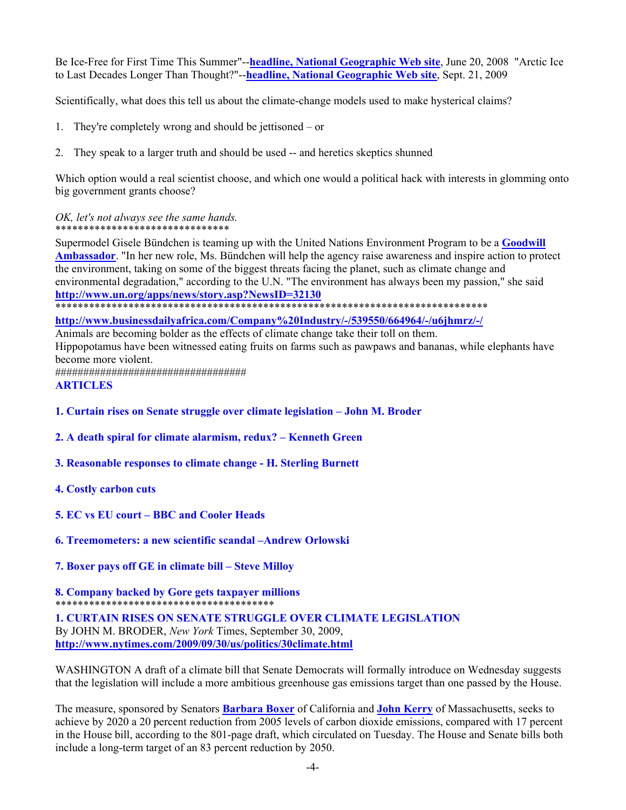Be Ice-Free for First Time This Summer"--**[headline, National Geographic Web site](http://news.nationalgeographic.com/news/2008/06/080620-north-pole.html)**, June 20, 2008 "Arctic Ice to Last Decades Longer Than Thought?"--**[headline, National Geographic Web site](http://news.nationalgeographic.com/news/2009/09/090921-arctic-sea-ice.html)**, Sept. 21, 2009

Scientifically, what does this tell us about the climate-change models used to make hysterical claims?

- 1. They're completely wrong and should be jettisoned or
- 2. They speak to a larger truth and should be used -- and heretics skeptics shunned

Which option would a real scientist choose, and which one would a political hack with interests in glomming onto big government grants choose?

#### *OK, let's not always see the same hands.*  \*\*\*\*\*\*\*\*\*\*\*\*\*\*\*\*\*\*\*\*\*\*\*\*\*\*\*\*\*\*\*

Supermodel Gisele Bündchen is teaming up with the United Nations Environment Program to be a **[Goodwill](http://www.un.org/apps/news/story.asp?NewsID=32130) [Ambassador](http://www.un.org/apps/news/story.asp?NewsID=32130)**. "In her new role, Ms. Bündchen will help the agency raise awareness and inspire action to protect the environment, taking on some of the biggest threats facing the planet, such as climate change and environmental degradation," according to the U.N. "The environment has always been my passion," she said **http://www.un.org/apps/news/story.asp?NewsID=32130**

\*\*\*\*\*\*\*\*\*\*\*\*\*\*\*\*\*\*\*\*\*\*\*\*\*\*\*\*\*\*\*\*\*\*\*\*\*\*\*\*\*\*\*\*\*\*\*\*\*\*\*\*\*\*\*\*\*\*\*\*\*\*\*\*\*\*\*\*\*\*\*\*\*\*\*\*\*

**http://www.businessdailyafrica.com/Company%20Industry/-/539550/664964/-/u6jhmrz/-/** 

Animals are becoming bolder as the effects of climate change take their toll on them.

Hippopotamus have been witnessed eating fruits on farms such as pawpaws and bananas, while elephants have become more violent.

################################## **ARTICLES** 

- **1. Curtain rises on Senate struggle over climate legislation John M. Broder**
- **2. A death spiral for climate alarmism, redux? Kenneth Green**
- **3. Reasonable responses to climate change H. Sterling Burnett**
- **4. Costly carbon cuts**
- **5. EC vs EU court BBC and Cooler Heads**

**6. Treemometers: a new scientific scandal –Andrew Orlowski** 

**7. Boxer pays off GE in climate bill – Steve Milloy** 

**8. Company backed by Gore gets taxpayer millions**  \*\*\*\*\*\*\*\*\*\*\*\*\*\*\*\*\*\*\*\*\*\*\*\*\*\*\*\*\*\*\*\*\*\*\*\*\*\*\*

**1. CURTAIN RISES ON SENATE STRUGGLE OVER CLIMATE LEGISLATION**  By JOHN M. BRODER, *New York* Times, September 30, 2009, **http://www.nytimes.com/2009/09/30/us/politics/30climate.html**

WASHINGTON A draft of a climate bill that Senate Democrats will formally introduce on Wednesday suggests that the legislation will include a more ambitious greenhouse gas emissions target than one passed by the House.

The measure, sponsored by Senators **[Barbara Boxer](http://topics.nytimes.com/top/reference/timestopics/people/b/barbara_boxer/index.html?inline=nyt-per)** of California and **[John Kerry](http://topics.nytimes.com/top/reference/timestopics/people/k/john_kerry/index.html?inline=nyt-per)** of Massachusetts, seeks to achieve by 2020 a 20 percent reduction from 2005 levels of carbon dioxide emissions, compared with 17 percent in the House bill, according to the 801-page draft, which circulated on Tuesday. The House and Senate bills both include a long-term target of an 83 percent reduction by 2050.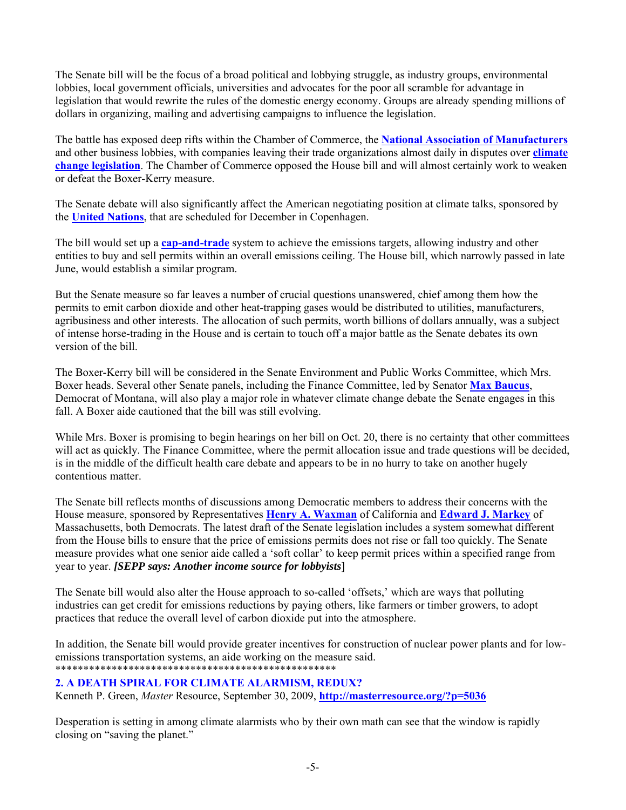The Senate bill will be the focus of a broad political and lobbying struggle, as industry groups, environmental lobbies, local government officials, universities and advocates for the poor all scramble for advantage in legislation that would rewrite the rules of the domestic energy economy. Groups are already spending millions of dollars in organizing, mailing and advertising campaigns to influence the legislation.

The battle has exposed deep rifts within the Chamber of Commerce, the **[National Association of Manufacturers](http://topics.nytimes.com/top/reference/timestopics/organizations/n/national_assn_of_manufacturers/index.html?inline=nyt-org)** and other business lobbies, with companies leaving their trade organizations almost daily in disputes over **[climate](http://topics.nytimes.com/top/news/science/topics/globalwarming/index.html?inline=nyt-classifier)  [change legislation](http://topics.nytimes.com/top/news/science/topics/globalwarming/index.html?inline=nyt-classifier)**. The Chamber of Commerce opposed the House bill and will almost certainly work to weaken or defeat the Boxer-Kerry measure.

The Senate debate will also significantly affect the American negotiating position at climate talks, sponsored by the **[United Nations](http://topics.nytimes.com/top/reference/timestopics/organizations/u/united_nations/index.html?inline=nyt-org)**, that are scheduled for December in Copenhagen.

The bill would set up a **[cap-and-trade](http://topics.nytimes.com/topics/reference/timestopics/subjects/g/greenhouse_gas_emissions/cap_and_trade/index.html?inline=nyt-classifier)** system to achieve the emissions targets, allowing industry and other entities to buy and sell permits within an overall emissions ceiling. The House bill, which narrowly passed in late June, would establish a similar program.

But the Senate measure so far leaves a number of crucial questions unanswered, chief among them how the permits to emit carbon dioxide and other heat-trapping gases would be distributed to utilities, manufacturers, agribusiness and other interests. The allocation of such permits, worth billions of dollars annually, was a subject of intense horse-trading in the House and is certain to touch off a major battle as the Senate debates its own version of the bill.

The Boxer-Kerry bill will be considered in the Senate Environment and Public Works Committee, which Mrs. Boxer heads. Several other Senate panels, including the Finance Committee, led by Senator **[Max Baucus](http://topics.nytimes.com/top/reference/timestopics/people/b/max_baucus/index.html?inline=nyt-per)**, Democrat of Montana, will also play a major role in whatever climate change debate the Senate engages in this fall. A Boxer aide cautioned that the bill was still evolving.

While Mrs. Boxer is promising to begin hearings on her bill on Oct. 20, there is no certainty that other committees will act as quickly. The Finance Committee, where the permit allocation issue and trade questions will be decided, is in the middle of the difficult health care debate and appears to be in no hurry to take on another hugely contentious matter.

The Senate bill reflects months of discussions among Democratic members to address their concerns with the House measure, sponsored by Representatives **[Henry A. Waxman](http://topics.nytimes.com/top/reference/timestopics/people/w/henry_a_waxman/index.html?inline=nyt-per)** of California and **[Edward J. Markey](http://topics.nytimes.com/top/reference/timestopics/people/m/edward_j_markey/index.html?inline=nyt-per)** of Massachusetts, both Democrats. The latest draft of the Senate legislation includes a system somewhat different from the House bills to ensure that the price of emissions permits does not rise or fall too quickly. The Senate measure provides what one senior aide called a 'soft collar' to keep permit prices within a specified range from year to year. *[SEPP says: Another income source for lobbyists*]

The Senate bill would also alter the House approach to so-called 'offsets,' which are ways that polluting industries can get credit for emissions reductions by paying others, like farmers or timber growers, to adopt practices that reduce the overall level of carbon dioxide put into the atmosphere.

In addition, the Senate bill would provide greater incentives for construction of nuclear power plants and for lowemissions transportation systems, an aide working on the measure said. \*\*\*\*\*\*\*\*\*\*\*\*\*\*\*\*\*\*\*\*\*\*\*\*\*\*\*\*\*\*\*\*\*\*\*\*\*\*\*\*\*\*\*\*\*\*\*\*\*\*

#### **2. A DEATH SPIRAL FOR CLIMATE ALARMISM, REDUX?**

Kenneth P. Green, *Master* Resource, September 30, 2009, **http://masterresource.org/?p=5036**

Desperation is setting in among climate alarmists who by their own math can see that the window is rapidly closing on "saving the planet."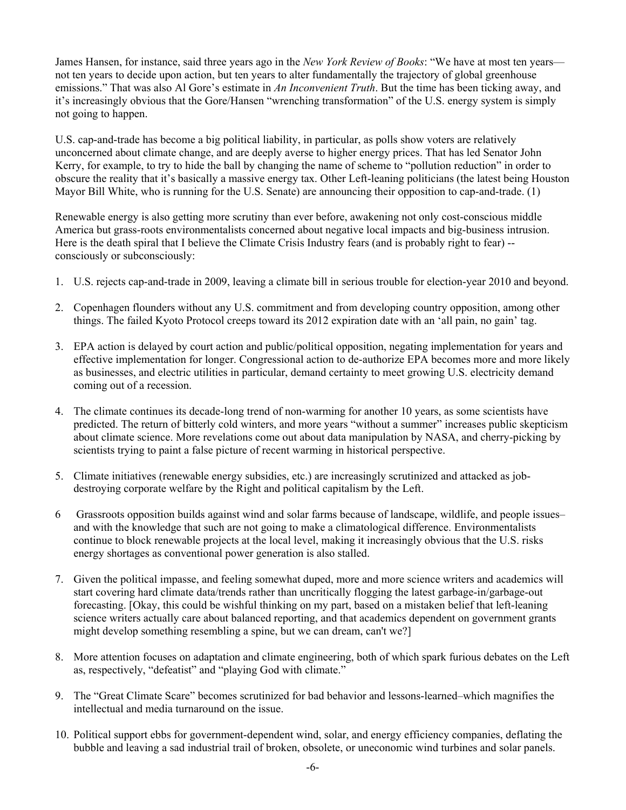James Hansen, for instance, said three years ago in the *New York Review of Books*: "We have at most ten years not ten years to decide upon action, but ten years to alter fundamentally the trajectory of global greenhouse emissions." That was also Al Gore's estimate in *An Inconvenient Truth*. But the time has been ticking away, and it's increasingly obvious that the Gore/Hansen "wrenching transformation" of the U.S. energy system is simply not going to happen.

U.S. cap-and-trade has become a big political liability, in particular, as polls show voters are relatively unconcerned about climate change, and are deeply averse to higher energy prices. That has led Senator John Kerry, for example, to try to hide the ball by changing the name of scheme to "pollution reduction" in order to obscure the reality that it's basically a massive energy tax. Other Left-leaning politicians (the latest being Houston Mayor Bill White, who is running for the U.S. Senate) are announcing their opposition to cap-and-trade. (1)

Renewable energy is also getting more scrutiny than ever before, awakening not only cost-conscious middle America but grass-roots environmentalists concerned about negative local impacts and big-business intrusion. Here is the death spiral that I believe the Climate Crisis Industry fears (and is probably right to fear) - consciously or subconsciously:

- 1. U.S. rejects cap-and-trade in 2009, leaving a climate bill in serious trouble for election-year 2010 and beyond.
- 2. Copenhagen flounders without any U.S. commitment and from developing country opposition, among other things. The failed Kyoto Protocol creeps toward its 2012 expiration date with an 'all pain, no gain' tag.
- 3. EPA action is delayed by court action and public/political opposition, negating implementation for years and effective implementation for longer. Congressional action to de-authorize EPA becomes more and more likely as businesses, and electric utilities in particular, demand certainty to meet growing U.S. electricity demand coming out of a recession.
- 4. The climate continues its decade-long trend of non-warming for another 10 years, as some scientists have predicted. The return of bitterly cold winters, and more years "without a summer" increases public skepticism about climate science. More revelations come out about data manipulation by NASA, and cherry-picking by scientists trying to paint a false picture of recent warming in historical perspective.
- 5. Climate initiatives (renewable energy subsidies, etc.) are increasingly scrutinized and attacked as jobdestroying corporate welfare by the Right and political capitalism by the Left.
- 6 Grassroots opposition builds against wind and solar farms because of landscape, wildlife, and people issues– and with the knowledge that such are not going to make a climatological difference. Environmentalists continue to block renewable projects at the local level, making it increasingly obvious that the U.S. risks energy shortages as conventional power generation is also stalled.
- 7. Given the political impasse, and feeling somewhat duped, more and more science writers and academics will start covering hard climate data/trends rather than uncritically flogging the latest garbage-in/garbage-out forecasting. [Okay, this could be wishful thinking on my part, based on a mistaken belief that left-leaning science writers actually care about balanced reporting, and that academics dependent on government grants might develop something resembling a spine, but we can dream, can't we?]
- 8. More attention focuses on adaptation and climate engineering, both of which spark furious debates on the Left as, respectively, "defeatist" and "playing God with climate."
- 9. The "Great Climate Scare" becomes scrutinized for bad behavior and lessons-learned–which magnifies the intellectual and media turnaround on the issue.
- 10. Political support ebbs for government-dependent wind, solar, and energy efficiency companies, deflating the bubble and leaving a sad industrial trail of broken, obsolete, or uneconomic wind turbines and solar panels.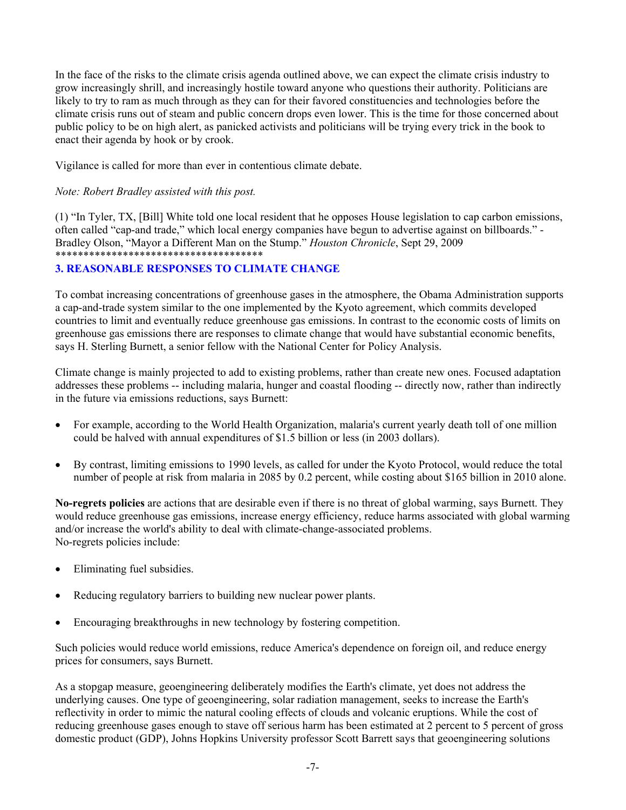In the face of the risks to the climate crisis agenda outlined above, we can expect the climate crisis industry to grow increasingly shrill, and increasingly hostile toward anyone who questions their authority. Politicians are likely to try to ram as much through as they can for their favored constituencies and technologies before the climate crisis runs out of steam and public concern drops even lower. This is the time for those concerned about public policy to be on high alert, as panicked activists and politicians will be trying every trick in the book to enact their agenda by hook or by crook.

Vigilance is called for more than ever in contentious climate debate.

#### *Note: Robert Bradley assisted with this post.*

(1) "In Tyler, TX, [Bill] White told one local resident that he opposes House legislation to cap carbon emissions, often called "cap-and trade," which local energy companies have begun to advertise against on billboards." - Bradley Olson, "Mayor a Different Man on the Stump." *Houston Chronicle*, Sept 29, 2009 \*\*\*\*\*\*\*\*\*\*\*\*\*\*\*\*\*\*\*\*\*\*\*\*\*\*\*\*\*\*\*\*\*\*\*\*\*

#### **3. REASONABLE RESPONSES TO CLIMATE CHANGE**

To combat increasing concentrations of greenhouse gases in the atmosphere, the Obama Administration supports a cap-and-trade system similar to the one implemented by the Kyoto agreement, which commits developed countries to limit and eventually reduce greenhouse gas emissions. In contrast to the economic costs of limits on greenhouse gas emissions there are responses to climate change that would have substantial economic benefits, says H. Sterling Burnett, a senior fellow with the National Center for Policy Analysis.

Climate change is mainly projected to add to existing problems, rather than create new ones. Focused adaptation addresses these problems -- including malaria, hunger and coastal flooding -- directly now, rather than indirectly in the future via emissions reductions, says Burnett:

- For example, according to the World Health Organization, malaria's current yearly death toll of one million could be halved with annual expenditures of \$1.5 billion or less (in 2003 dollars).
- By contrast, limiting emissions to 1990 levels, as called for under the Kyoto Protocol, would reduce the total number of people at risk from malaria in 2085 by 0.2 percent, while costing about \$165 billion in 2010 alone.

**No-regrets policies** are actions that are desirable even if there is no threat of global warming, says Burnett. They would reduce greenhouse gas emissions, increase energy efficiency, reduce harms associated with global warming and/or increase the world's ability to deal with climate-change-associated problems. No-regrets policies include:

- Eliminating fuel subsidies.
- Reducing regulatory barriers to building new nuclear power plants.
- Encouraging breakthroughs in new technology by fostering competition.

Such policies would reduce world emissions, reduce America's dependence on foreign oil, and reduce energy prices for consumers, says Burnett.

As a stopgap measure, geoengineering deliberately modifies the Earth's climate, yet does not address the underlying causes. One type of geoengineering, solar radiation management, seeks to increase the Earth's reflectivity in order to mimic the natural cooling effects of clouds and volcanic eruptions. While the cost of reducing greenhouse gases enough to stave off serious harm has been estimated at 2 percent to 5 percent of gross domestic product (GDP), Johns Hopkins University professor Scott Barrett says that geoengineering solutions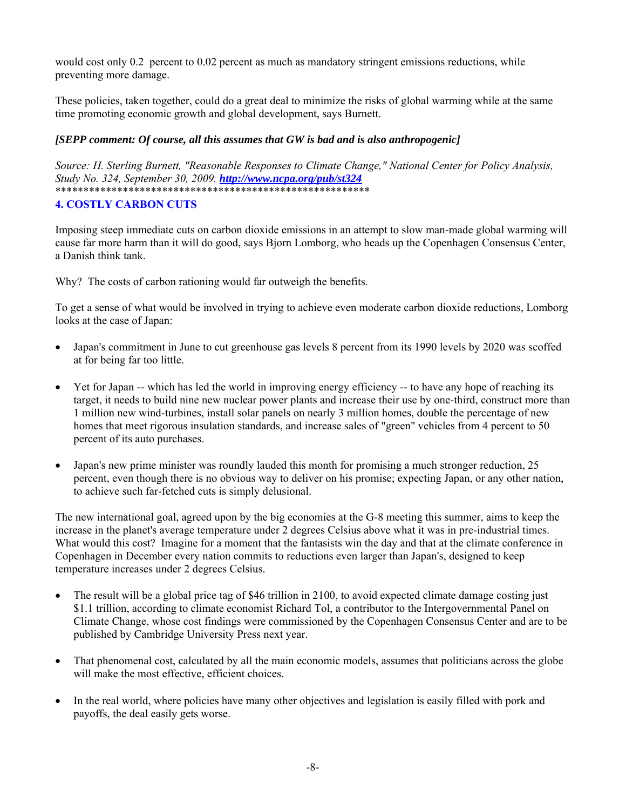would cost only 0.2 percent to 0.02 percent as much as mandatory stringent emissions reductions, while preventing more damage.

These policies, taken together, could do a great deal to minimize the risks of global warming while at the same time promoting economic growth and global development, says Burnett.

#### *[SEPP comment: Of course, all this assumes that GW is bad and is also anthropogenic]*

*Source: H. Sterling Burnett, "Reasonable Responses to Climate Change," National Center for Policy Analysis, Study No. 324, September 30, 2009. http://www.ncpa.org/pub/st324*  \*\*\*\*\*\*\*\*\*\*\*\*\*\*\*\*\*\*\*\*\*\*\*\*\*\*\*\*\*\*\*\*\*\*\*\*\*\*\*\*\*\*\*\*\*\*\*\*\*\*\*\*\*\*\*\*

#### **4. COSTLY CARBON CUTS**

Imposing steep immediate cuts on carbon dioxide emissions in an attempt to slow man-made global warming will cause far more harm than it will do good, says Bjorn Lomborg, who heads up the Copenhagen Consensus Center, a Danish think tank.

Why? The costs of carbon rationing would far outweigh the benefits.

To get a sense of what would be involved in trying to achieve even moderate carbon dioxide reductions, Lomborg looks at the case of Japan:

- Japan's commitment in June to cut greenhouse gas levels 8 percent from its 1990 levels by 2020 was scoffed at for being far too little.
- Yet for Japan -- which has led the world in improving energy efficiency -- to have any hope of reaching its target, it needs to build nine new nuclear power plants and increase their use by one-third, construct more than 1 million new wind-turbines, install solar panels on nearly 3 million homes, double the percentage of new homes that meet rigorous insulation standards, and increase sales of "green" vehicles from 4 percent to 50 percent of its auto purchases.
- Japan's new prime minister was roundly lauded this month for promising a much stronger reduction, 25 percent, even though there is no obvious way to deliver on his promise; expecting Japan, or any other nation, to achieve such far-fetched cuts is simply delusional.

The new international goal, agreed upon by the big economies at the G-8 meeting this summer, aims to keep the increase in the planet's average temperature under 2 degrees Celsius above what it was in pre-industrial times. What would this cost? Imagine for a moment that the fantasists win the day and that at the climate conference in Copenhagen in December every nation commits to reductions even larger than Japan's, designed to keep temperature increases under 2 degrees Celsius.

- The result will be a global price tag of \$46 trillion in 2100, to avoid expected climate damage costing just \$1.1 trillion, according to climate economist Richard Tol, a contributor to the Intergovernmental Panel on Climate Change, whose cost findings were commissioned by the Copenhagen Consensus Center and are to be published by Cambridge University Press next year.
- That phenomenal cost, calculated by all the main economic models, assumes that politicians across the globe will make the most effective, efficient choices.
- In the real world, where policies have many other objectives and legislation is easily filled with pork and payoffs, the deal easily gets worse.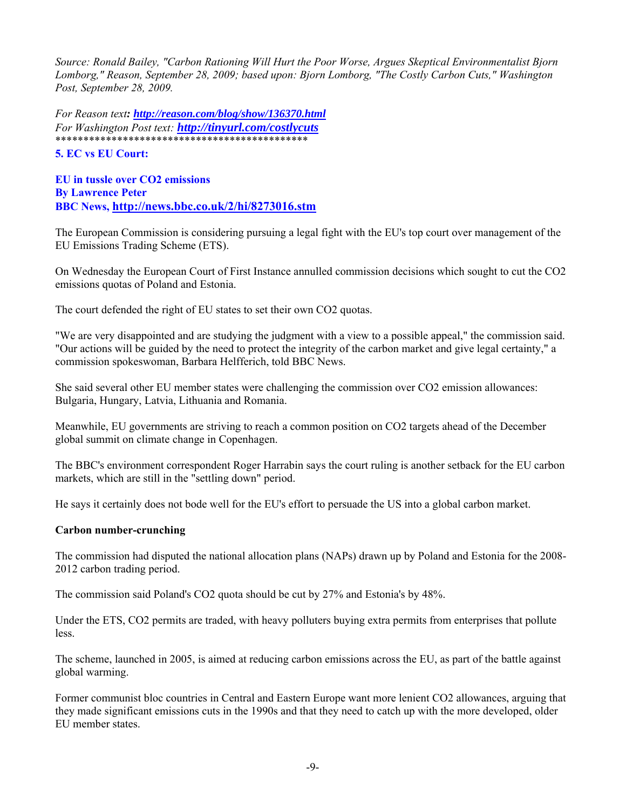*Source: Ronald Bailey, "Carbon Rationing Will Hurt the Poor Worse, Argues Skeptical Environmentalist Bjorn Lomborg," Reason, September 28, 2009; based upon: Bjorn Lomborg, "The Costly Carbon Cuts," Washington Post, September 28, 2009.* 

*For Reason text: http://reason.com/blog/show/136370.html For Washington Post text: http://tinyurl.com/costlycuts* \*\*\*\*\*\*\*\*\*\*\*\*\*\*\*\*\*\*\*\*\*\*\*\*\*\*\*\*\*\*\*\*\*\*\*\*\*\*\*\*\*\*\*\*\*

#### **5. EC vs EU Court:**

**EU in tussle over CO2 emissions By Lawrence Peter BBC News, http://news.bbc.co.uk/2/hi/8273016.stm**

The European Commission is considering pursuing a legal fight with the EU's top court over management of the EU Emissions Trading Scheme (ETS).

On Wednesday the European Court of First Instance annulled commission decisions which sought to cut the CO2 emissions quotas of Poland and Estonia.

The court defended the right of EU states to set their own CO2 quotas.

"We are very disappointed and are studying the judgment with a view to a possible appeal," the commission said. "Our actions will be guided by the need to protect the integrity of the carbon market and give legal certainty," a commission spokeswoman, Barbara Helfferich, told BBC News.

She said several other EU member states were challenging the commission over CO2 emission allowances: Bulgaria, Hungary, Latvia, Lithuania and Romania.

Meanwhile, EU governments are striving to reach a common position on CO2 targets ahead of the December global summit on climate change in Copenhagen.

The BBC's environment correspondent Roger Harrabin says the court ruling is another setback for the EU carbon markets, which are still in the "settling down" period.

He says it certainly does not bode well for the EU's effort to persuade the US into a global carbon market.

#### **Carbon number-crunching**

The commission had disputed the national allocation plans (NAPs) drawn up by Poland and Estonia for the 2008- 2012 carbon trading period.

The commission said Poland's CO2 quota should be cut by 27% and Estonia's by 48%.

Under the ETS, CO2 permits are traded, with heavy polluters buying extra permits from enterprises that pollute less.

The scheme, launched in 2005, is aimed at reducing carbon emissions across the EU, as part of the battle against global warming.

Former communist bloc countries in Central and Eastern Europe want more lenient CO2 allowances, arguing that they made significant emissions cuts in the 1990s and that they need to catch up with the more developed, older EU member states.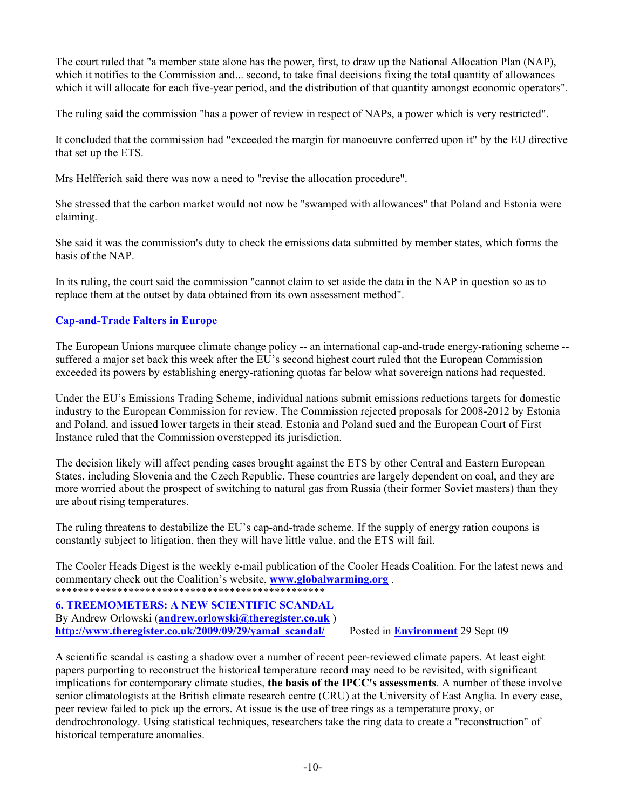The court ruled that "a member state alone has the power, first, to draw up the National Allocation Plan (NAP), which it notifies to the Commission and... second, to take final decisions fixing the total quantity of allowances which it will allocate for each five-year period, and the distribution of that quantity amongst economic operators".

The ruling said the commission "has a power of review in respect of NAPs, a power which is very restricted".

It concluded that the commission had "exceeded the margin for manoeuvre conferred upon it" by the EU directive that set up the ETS.

Mrs Helfferich said there was now a need to "revise the allocation procedure".

She stressed that the carbon market would not now be "swamped with allowances" that Poland and Estonia were claiming.

She said it was the commission's duty to check the emissions data submitted by member states, which forms the basis of the NAP.

In its ruling, the court said the commission "cannot claim to set aside the data in the NAP in question so as to replace them at the outset by data obtained from its own assessment method".

### **Cap-and-Trade Falters in Europe**

The European Unions marquee climate change policy -- an international cap-and-trade energy-rationing scheme - suffered a major set back this week after the EU's second highest court ruled that the European Commission exceeded its powers by establishing energy-rationing quotas far below what sovereign nations had requested.

Under the EU's Emissions Trading Scheme, individual nations submit emissions reductions targets for domestic industry to the European Commission for review. The Commission rejected proposals for 2008-2012 by Estonia and Poland, and issued lower targets in their stead. Estonia and Poland sued and the European Court of First Instance ruled that the Commission overstepped its jurisdiction.

The decision likely will affect pending cases brought against the ETS by other Central and Eastern European States, including Slovenia and the Czech Republic. These countries are largely dependent on coal, and they are more worried about the prospect of switching to natural gas from Russia (their former Soviet masters) than they are about rising temperatures.

The ruling threatens to destabilize the EU's cap-and-trade scheme. If the supply of energy ration coupons is constantly subject to litigation, then they will have little value, and the ETS will fail.

The Cooler Heads Digest is the weekly e-mail publication of the Cooler Heads Coalition. For the latest news and commentary check out the Coalition's website, **www.globalwarming.org** . \*\*\*\*\*\*\*\*\*\*\*\*\*\*\*\*\*\*\*\*\*\*\*\*\*\*\*\*\*\*\*\*\*\*\*\*\*\*\*\*\*\*\*\*\*\*\*\*

## **6. TREEMOMETERS: A NEW SCIENTIFIC SCANDAL**

By Andrew Orlowski (**andrew.orlowski@theregister.co.uk** ) **http://www.theregister.co.uk/2009/09/29/yamal\_scandal/** Posted in **Environment** 29 Sept 09

A scientific scandal is casting a shadow over a number of recent peer-reviewed climate papers. At least eight papers purporting to reconstruct the historical temperature record may need to be revisited, with significant implications for contemporary climate studies, **the basis of the IPCC's assessments**. A number of these involve senior climatologists at the British climate research centre (CRU) at the University of East Anglia. In every case, peer review failed to pick up the errors. At issue is the use of tree rings as a temperature proxy, or dendrochronology. Using statistical techniques, researchers take the ring data to create a "reconstruction" of historical temperature anomalies.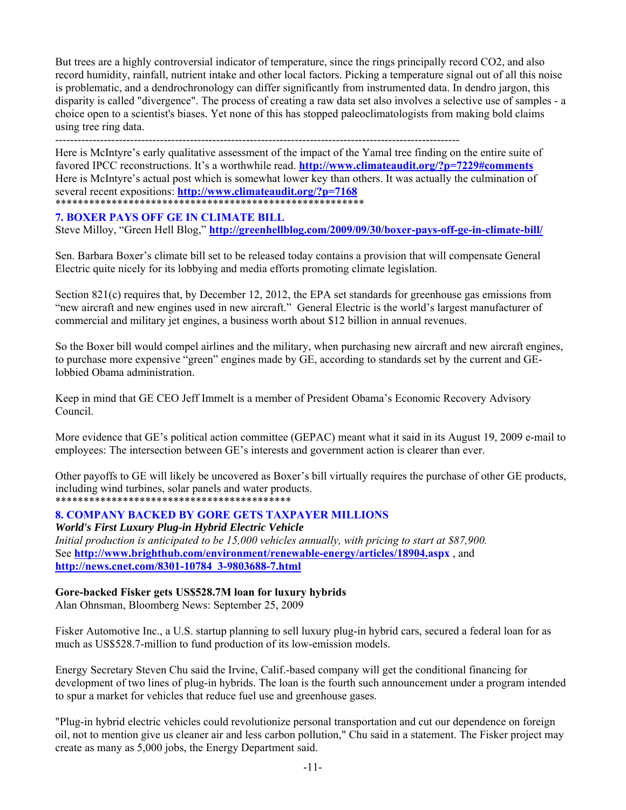But trees are a highly controversial indicator of temperature, since the rings principally record CO2, and also record humidity, rainfall, nutrient intake and other local factors. Picking a temperature signal out of all this noise is problematic, and a dendrochronology can differ significantly from instrumented data. In dendro jargon, this disparity is called "divergence". The process of creating a raw data set also involves a selective use of samples - a choice open to a scientist's biases. Yet none of this has stopped paleoclimatologists from making bold claims using tree ring data.

------------------------------------------------------------------------------------------------------------

Here is McIntyre's early qualitative assessment of the impact of the Yamal tree finding on the entire suite of favored IPCC reconstructions. It's a worthwhile read. **http://www.climateaudit.org/?p=7229#comments** Here is McIntyre's actual post which is somewhat lower key than others. It was actually the culmination of several recent expositions: **http://www.climateaudit.org/?p=7168** \*\*\*\*\*\*\*\*\*\*\*\*\*\*\*\*\*\*\*\*\*\*\*\*\*\*\*\*\*\*\*\*\*\*\*\*\*\*\*\*\*\*\*\*\*\*\*\*\*\*\*\*\*\*\*

### **7. BOXER PAYS OFF GE IN CLIMATE BILL**

Steve Milloy, "Green Hell Blog," **http://greenhellblog.com/2009/09/30/boxer-pays-off-ge-in-climate-bill/** 

Sen. Barbara Boxer's climate bill set to be released today contains a provision that will compensate General Electric quite nicely for its lobbying and media efforts promoting climate legislation.

Section 821(c) requires that, by December 12, 2012, the EPA set standards for greenhouse gas emissions from "new aircraft and new engines used in new aircraft." General Electric is the world's largest manufacturer of commercial and military jet engines, a business worth about \$12 billion in annual revenues.

So the Boxer bill would compel airlines and the military, when purchasing new aircraft and new aircraft engines, to purchase more expensive "green" engines made by GE, according to standards set by the current and GElobbied Obama administration.

Keep in mind that GE CEO Jeff Immelt is a member of President Obama's Economic Recovery Advisory Council.

More evidence that GE's political action committee (GEPAC) meant what it said in its August 19, 2009 e-mail to employees: The intersection between GE's interests and government action is clearer than ever.

Other payoffs to GE will likely be uncovered as Boxer's bill virtually requires the purchase of other GE products, including wind turbines, solar panels and water products. \*\*\*\*\*\*\*\*\*\*\*\*\*\*\*\*\*\*\*\*\*\*\*\*\*\*\*\*\*\*\*\*\*\*\*\*\*\*\*\*\*\*

#### **8. COMPANY BACKED BY GORE GETS TAXPAYER MILLIONS**

#### *World's First Luxury Plug-in Hybrid Electric Vehicle*

*Initial production is anticipated to be 15,000 vehicles annually, with pricing to start at \$87,900.*  See **http://www.brighthub.com/environment/renewable-energy/articles/18904.aspx** , and **http://news.cnet.com/8301-10784\_3-9803688-7.html**

#### **Gore-backed Fisker gets US\$528.7M loan for luxury hybrids**

Alan Ohnsman, Bloomberg News: September 25, 2009

Fisker Automotive Inc., a U.S. startup planning to sell luxury plug-in hybrid cars, secured a federal loan for as much as US\$528.7-million to fund production of its low-emission models.

Energy Secretary Steven Chu said the Irvine, Calif.-based company will get the conditional financing for development of two lines of plug-in hybrids. The loan is the fourth such announcement under a program intended to spur a market for vehicles that reduce fuel use and greenhouse gases.

"Plug-in hybrid electric vehicles could revolutionize personal transportation and cut our dependence on foreign oil, not to mention give us cleaner air and less carbon pollution," Chu said in a statement. The Fisker project may create as many as 5,000 jobs, the Energy Department said.